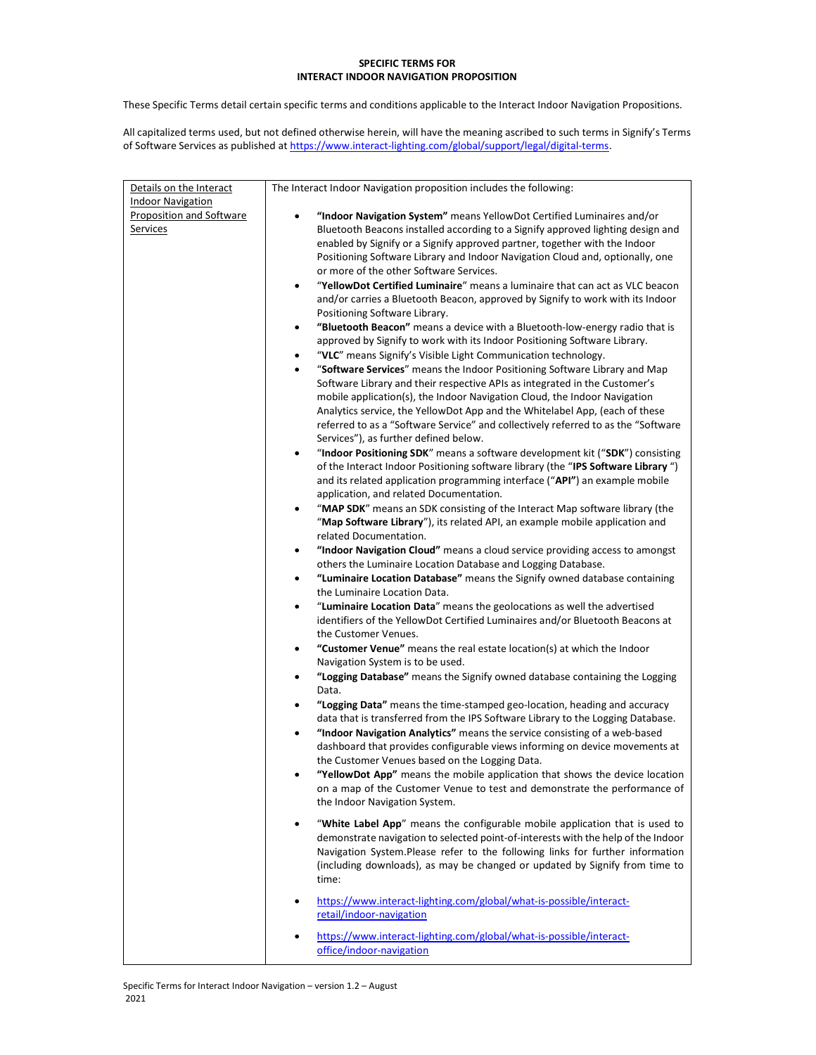## SPECIFIC TERMS FOR INTERACT INDOOR NAVIGATION PROPOSITION

These Specific Terms detail certain specific terms and conditions applicable to the Interact Indoor Navigation Propositions.

All capitalized terms used, but not defined otherwise herein, will have the meaning ascribed to such terms in Signify's Terms of Software Services as published at https://www.interact-lighting.com/global/support/legal/digital-terms.

| Details on the Interact  | The Interact Indoor Navigation proposition includes the following:                                                                                                            |
|--------------------------|-------------------------------------------------------------------------------------------------------------------------------------------------------------------------------|
| <b>Indoor Navigation</b> |                                                                                                                                                                               |
| Proposition and Software | "Indoor Navigation System" means YellowDot Certified Luminaires and/or                                                                                                        |
| <b>Services</b>          | Bluetooth Beacons installed according to a Signify approved lighting design and                                                                                               |
|                          | enabled by Signify or a Signify approved partner, together with the Indoor                                                                                                    |
|                          | Positioning Software Library and Indoor Navigation Cloud and, optionally, one                                                                                                 |
|                          | or more of the other Software Services.                                                                                                                                       |
|                          | "YellowDot Certified Luminaire" means a luminaire that can act as VLC beacon<br>$\bullet$                                                                                     |
|                          | and/or carries a Bluetooth Beacon, approved by Signify to work with its Indoor                                                                                                |
|                          | Positioning Software Library.                                                                                                                                                 |
|                          | "Bluetooth Beacon" means a device with a Bluetooth-low-energy radio that is<br>$\bullet$                                                                                      |
|                          | approved by Signify to work with its Indoor Positioning Software Library.                                                                                                     |
|                          | "VLC" means Signify's Visible Light Communication technology.<br>٠                                                                                                            |
|                          | "Software Services" means the Indoor Positioning Software Library and Map<br>$\bullet$                                                                                        |
|                          | Software Library and their respective APIs as integrated in the Customer's                                                                                                    |
|                          | mobile application(s), the Indoor Navigation Cloud, the Indoor Navigation                                                                                                     |
|                          | Analytics service, the YellowDot App and the Whitelabel App, (each of these                                                                                                   |
|                          | referred to as a "Software Service" and collectively referred to as the "Software<br>Services"), as further defined below.                                                    |
|                          | "Indoor Positioning SDK" means a software development kit ("SDK") consisting<br>$\bullet$                                                                                     |
|                          | of the Interact Indoor Positioning software library (the "IPS Software Library")                                                                                              |
|                          | and its related application programming interface ("API") an example mobile                                                                                                   |
|                          | application, and related Documentation.                                                                                                                                       |
|                          | "MAP SDK" means an SDK consisting of the Interact Map software library (the<br>$\bullet$                                                                                      |
|                          | "Map Software Library"), its related API, an example mobile application and                                                                                                   |
|                          | related Documentation.                                                                                                                                                        |
|                          | "Indoor Navigation Cloud" means a cloud service providing access to amongst<br>٠                                                                                              |
|                          | others the Luminaire Location Database and Logging Database.                                                                                                                  |
|                          | "Luminaire Location Database" means the Signify owned database containing<br>٠<br>the Luminaire Location Data.                                                                |
|                          | "Luminaire Location Data" means the geolocations as well the advertised<br>٠                                                                                                  |
|                          | identifiers of the YellowDot Certified Luminaires and/or Bluetooth Beacons at                                                                                                 |
|                          | the Customer Venues.                                                                                                                                                          |
|                          | "Customer Venue" means the real estate location(s) at which the Indoor<br>$\bullet$                                                                                           |
|                          | Navigation System is to be used.                                                                                                                                              |
|                          | "Logging Database" means the Signify owned database containing the Logging<br>$\bullet$<br>Data.                                                                              |
|                          | "Logging Data" means the time-stamped geo-location, heading and accuracy                                                                                                      |
|                          | data that is transferred from the IPS Software Library to the Logging Database.                                                                                               |
|                          | "Indoor Navigation Analytics" means the service consisting of a web-based<br>٠                                                                                                |
|                          | dashboard that provides configurable views informing on device movements at                                                                                                   |
|                          | the Customer Venues based on the Logging Data.                                                                                                                                |
|                          | "YellowDot App" means the mobile application that shows the device location                                                                                                   |
|                          | on a map of the Customer Venue to test and demonstrate the performance of<br>the Indoor Navigation System.                                                                    |
|                          |                                                                                                                                                                               |
|                          | "White Label App" means the configurable mobile application that is used to<br>$\bullet$<br>demonstrate navigation to selected point-of-interests with the help of the Indoor |
|                          | Navigation System.Please refer to the following links for further information                                                                                                 |
|                          | (including downloads), as may be changed or updated by Signify from time to                                                                                                   |
|                          | time:                                                                                                                                                                         |
|                          | https://www.interact-lighting.com/global/what-is-possible/interact-<br>$\bullet$                                                                                              |
|                          | retail/indoor-navigation                                                                                                                                                      |
|                          |                                                                                                                                                                               |
|                          | https://www.interact-lighting.com/global/what-is-possible/interact-                                                                                                           |
|                          | office/indoor-navigation                                                                                                                                                      |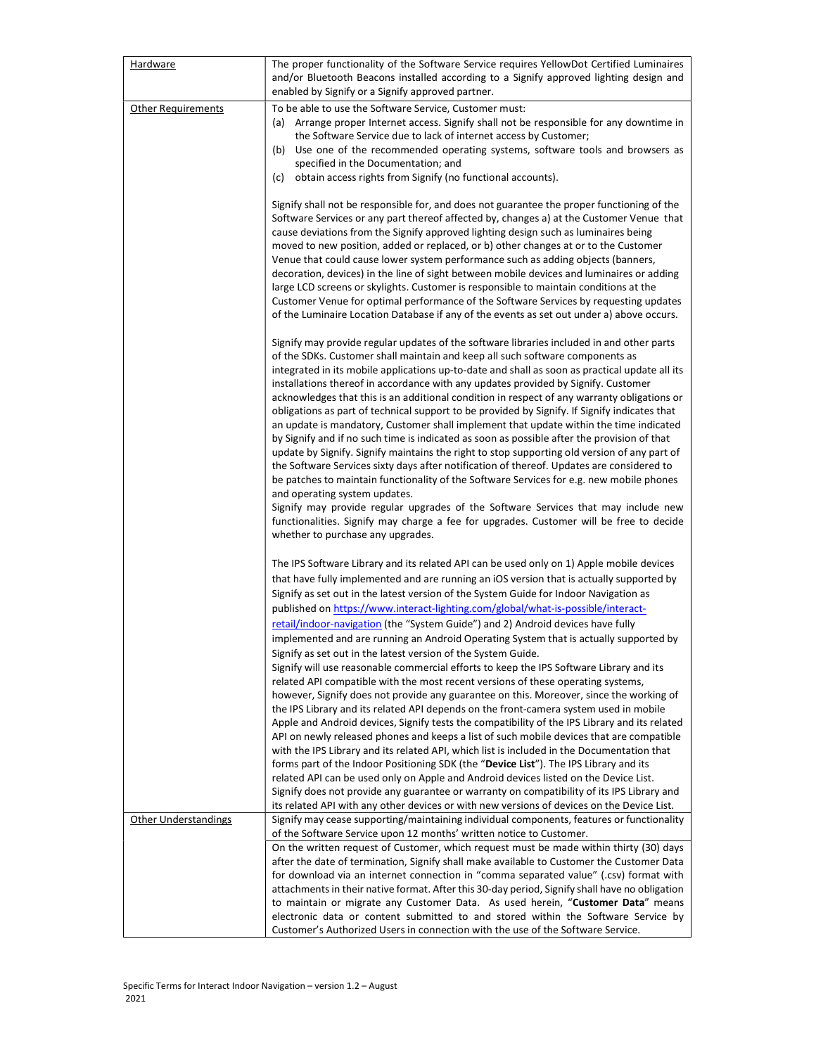| Hardware                  | The proper functionality of the Software Service requires YellowDot Certified Luminaires<br>and/or Bluetooth Beacons installed according to a Signify approved lighting design and                                                                                                                                                                                                                                                                                                                                                                                                                                                                                                                                                                                                                                                                                                                                                                                                                                                                                                                                                                                                                                                                                                                          |
|---------------------------|-------------------------------------------------------------------------------------------------------------------------------------------------------------------------------------------------------------------------------------------------------------------------------------------------------------------------------------------------------------------------------------------------------------------------------------------------------------------------------------------------------------------------------------------------------------------------------------------------------------------------------------------------------------------------------------------------------------------------------------------------------------------------------------------------------------------------------------------------------------------------------------------------------------------------------------------------------------------------------------------------------------------------------------------------------------------------------------------------------------------------------------------------------------------------------------------------------------------------------------------------------------------------------------------------------------|
|                           | enabled by Signify or a Signify approved partner.<br>To be able to use the Software Service, Customer must:                                                                                                                                                                                                                                                                                                                                                                                                                                                                                                                                                                                                                                                                                                                                                                                                                                                                                                                                                                                                                                                                                                                                                                                                 |
| <b>Other Requirements</b> | (a) Arrange proper Internet access. Signify shall not be responsible for any downtime in                                                                                                                                                                                                                                                                                                                                                                                                                                                                                                                                                                                                                                                                                                                                                                                                                                                                                                                                                                                                                                                                                                                                                                                                                    |
|                           | the Software Service due to lack of internet access by Customer;                                                                                                                                                                                                                                                                                                                                                                                                                                                                                                                                                                                                                                                                                                                                                                                                                                                                                                                                                                                                                                                                                                                                                                                                                                            |
|                           | (b)<br>Use one of the recommended operating systems, software tools and browsers as                                                                                                                                                                                                                                                                                                                                                                                                                                                                                                                                                                                                                                                                                                                                                                                                                                                                                                                                                                                                                                                                                                                                                                                                                         |
|                           | specified in the Documentation; and                                                                                                                                                                                                                                                                                                                                                                                                                                                                                                                                                                                                                                                                                                                                                                                                                                                                                                                                                                                                                                                                                                                                                                                                                                                                         |
|                           | obtain access rights from Signify (no functional accounts).<br>(c)                                                                                                                                                                                                                                                                                                                                                                                                                                                                                                                                                                                                                                                                                                                                                                                                                                                                                                                                                                                                                                                                                                                                                                                                                                          |
|                           | Signify shall not be responsible for, and does not guarantee the proper functioning of the<br>Software Services or any part thereof affected by, changes a) at the Customer Venue that<br>cause deviations from the Signify approved lighting design such as luminaires being<br>moved to new position, added or replaced, or b) other changes at or to the Customer<br>Venue that could cause lower system performance such as adding objects (banners,<br>decoration, devices) in the line of sight between mobile devices and luminaires or adding<br>large LCD screens or skylights. Customer is responsible to maintain conditions at the<br>Customer Venue for optimal performance of the Software Services by requesting updates<br>of the Luminaire Location Database if any of the events as set out under a) above occurs.                                                                                                                                                                                                                                                                                                                                                                                                                                                                        |
|                           | Signify may provide regular updates of the software libraries included in and other parts<br>of the SDKs. Customer shall maintain and keep all such software components as<br>integrated in its mobile applications up-to-date and shall as soon as practical update all its<br>installations thereof in accordance with any updates provided by Signify. Customer<br>acknowledges that this is an additional condition in respect of any warranty obligations or<br>obligations as part of technical support to be provided by Signify. If Signify indicates that<br>an update is mandatory, Customer shall implement that update within the time indicated<br>by Signify and if no such time is indicated as soon as possible after the provision of that<br>update by Signify. Signify maintains the right to stop supporting old version of any part of<br>the Software Services sixty days after notification of thereof. Updates are considered to<br>be patches to maintain functionality of the Software Services for e.g. new mobile phones<br>and operating system updates.<br>Signify may provide regular upgrades of the Software Services that may include new<br>functionalities. Signify may charge a fee for upgrades. Customer will be free to decide<br>whether to purchase any upgrades. |
|                           | The IPS Software Library and its related API can be used only on 1) Apple mobile devices<br>that have fully implemented and are running an iOS version that is actually supported by<br>Signify as set out in the latest version of the System Guide for Indoor Navigation as<br>published on https://www.interact-lighting.com/global/what-is-possible/interact-<br>retail/indoor-navigation (the "System Guide") and 2) Android devices have fully                                                                                                                                                                                                                                                                                                                                                                                                                                                                                                                                                                                                                                                                                                                                                                                                                                                        |
|                           | implemented and are running an Android Operating System that is actually supported by                                                                                                                                                                                                                                                                                                                                                                                                                                                                                                                                                                                                                                                                                                                                                                                                                                                                                                                                                                                                                                                                                                                                                                                                                       |
|                           | Signify as set out in the latest version of the System Guide.                                                                                                                                                                                                                                                                                                                                                                                                                                                                                                                                                                                                                                                                                                                                                                                                                                                                                                                                                                                                                                                                                                                                                                                                                                               |
|                           | Signify will use reasonable commercial efforts to keep the IPS Software Library and its<br>related API compatible with the most recent versions of these operating systems,                                                                                                                                                                                                                                                                                                                                                                                                                                                                                                                                                                                                                                                                                                                                                                                                                                                                                                                                                                                                                                                                                                                                 |
|                           | however, Signify does not provide any guarantee on this. Moreover, since the working of                                                                                                                                                                                                                                                                                                                                                                                                                                                                                                                                                                                                                                                                                                                                                                                                                                                                                                                                                                                                                                                                                                                                                                                                                     |
|                           | the IPS Library and its related API depends on the front-camera system used in mobile                                                                                                                                                                                                                                                                                                                                                                                                                                                                                                                                                                                                                                                                                                                                                                                                                                                                                                                                                                                                                                                                                                                                                                                                                       |
|                           | Apple and Android devices, Signify tests the compatibility of the IPS Library and its related<br>API on newly released phones and keeps a list of such mobile devices that are compatible                                                                                                                                                                                                                                                                                                                                                                                                                                                                                                                                                                                                                                                                                                                                                                                                                                                                                                                                                                                                                                                                                                                   |
|                           | with the IPS Library and its related API, which list is included in the Documentation that                                                                                                                                                                                                                                                                                                                                                                                                                                                                                                                                                                                                                                                                                                                                                                                                                                                                                                                                                                                                                                                                                                                                                                                                                  |
|                           | forms part of the Indoor Positioning SDK (the "Device List"). The IPS Library and its                                                                                                                                                                                                                                                                                                                                                                                                                                                                                                                                                                                                                                                                                                                                                                                                                                                                                                                                                                                                                                                                                                                                                                                                                       |
|                           | related API can be used only on Apple and Android devices listed on the Device List.                                                                                                                                                                                                                                                                                                                                                                                                                                                                                                                                                                                                                                                                                                                                                                                                                                                                                                                                                                                                                                                                                                                                                                                                                        |
|                           | Signify does not provide any guarantee or warranty on compatibility of its IPS Library and<br>its related API with any other devices or with new versions of devices on the Device List.                                                                                                                                                                                                                                                                                                                                                                                                                                                                                                                                                                                                                                                                                                                                                                                                                                                                                                                                                                                                                                                                                                                    |
| Other Understandings      | Signify may cease supporting/maintaining individual components, features or functionality                                                                                                                                                                                                                                                                                                                                                                                                                                                                                                                                                                                                                                                                                                                                                                                                                                                                                                                                                                                                                                                                                                                                                                                                                   |
|                           | of the Software Service upon 12 months' written notice to Customer.                                                                                                                                                                                                                                                                                                                                                                                                                                                                                                                                                                                                                                                                                                                                                                                                                                                                                                                                                                                                                                                                                                                                                                                                                                         |
|                           | On the written request of Customer, which request must be made within thirty (30) days                                                                                                                                                                                                                                                                                                                                                                                                                                                                                                                                                                                                                                                                                                                                                                                                                                                                                                                                                                                                                                                                                                                                                                                                                      |
|                           | after the date of termination, Signify shall make available to Customer the Customer Data                                                                                                                                                                                                                                                                                                                                                                                                                                                                                                                                                                                                                                                                                                                                                                                                                                                                                                                                                                                                                                                                                                                                                                                                                   |
|                           | for download via an internet connection in "comma separated value" (.csv) format with<br>attachments in their native format. After this 30-day period, Signify shall have no obligation                                                                                                                                                                                                                                                                                                                                                                                                                                                                                                                                                                                                                                                                                                                                                                                                                                                                                                                                                                                                                                                                                                                     |
|                           | to maintain or migrate any Customer Data. As used herein, "Customer Data" means                                                                                                                                                                                                                                                                                                                                                                                                                                                                                                                                                                                                                                                                                                                                                                                                                                                                                                                                                                                                                                                                                                                                                                                                                             |
|                           | electronic data or content submitted to and stored within the Software Service by                                                                                                                                                                                                                                                                                                                                                                                                                                                                                                                                                                                                                                                                                                                                                                                                                                                                                                                                                                                                                                                                                                                                                                                                                           |
|                           | Customer's Authorized Users in connection with the use of the Software Service.                                                                                                                                                                                                                                                                                                                                                                                                                                                                                                                                                                                                                                                                                                                                                                                                                                                                                                                                                                                                                                                                                                                                                                                                                             |